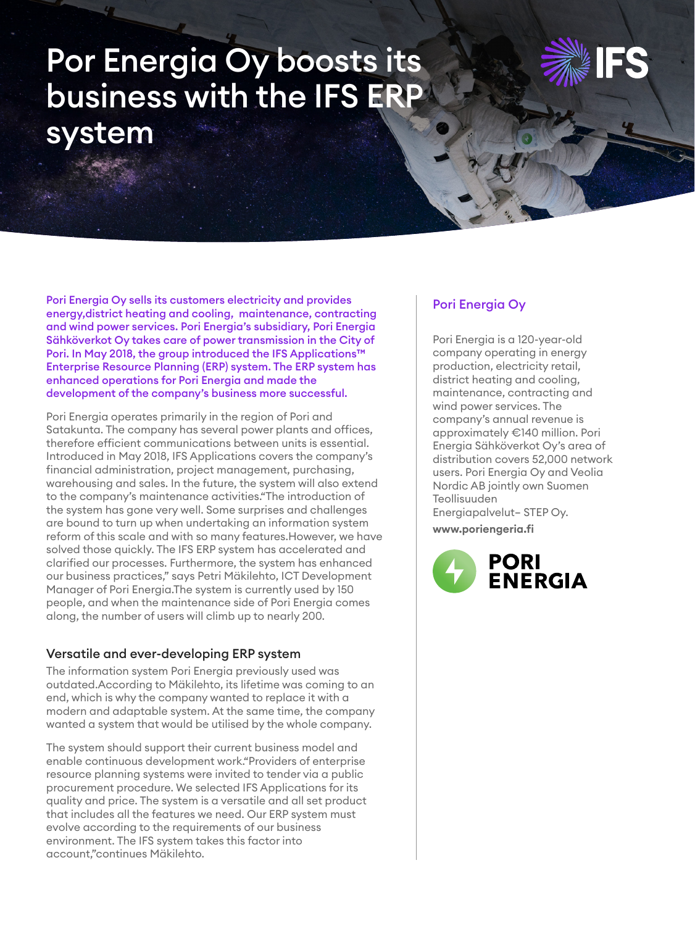# Por Energia Oy boosts its business with the IFS ERP system



Pori Energia Oy sells its customers electricity and provides energy,district heating and cooling, maintenance, contracting and wind power services. Pori Energia's subsidiary, Pori Energia Sähköverkot Oy takes care of power transmission in the City of Pori. In May 2018, the group introduced the IFS Applications™ Enterprise Resource Planning (ERP) system. The ERP system has enhanced operations for Pori Energia and made the development of the company's business more successful.

Pori Energia operates primarily in the region of Pori and Satakunta. The company has several power plants and offices, therefore efficient communications between units is essential. Introduced in May 2018, IFS Applications covers the company's financial administration, project management, purchasing, warehousing and sales. In the future, the system will also extend to the company's maintenance activities."The introduction of the system has gone very well. Some surprises and challenges are bound to turn up when undertaking an information system reform of this scale and with so many features.However, we have solved those quickly. The IFS ERP system has accelerated and clarified our processes. Furthermore, the system has enhanced our business practices," says Petri Mäkilehto, ICT Development Manager of Pori Energia.The system is currently used by 150 people, and when the maintenance side of Pori Energia comes along, the number of users will climb up to nearly 200.

### Versatile and ever-developing ERP system

The information system Pori Energia previously used was outdated.According to Mäkilehto, its lifetime was coming to an end, which is why the company wanted to replace it with a modern and adaptable system. At the same time, the company wanted a system that would be utilised by the whole company.

The system should support their current business model and enable continuous development work."Providers of enterprise resource planning systems were invited to tender via a public procurement procedure. We selected IFS Applications for its quality and price. The system is a versatile and all set product that includes all the features we need. Our ERP system must evolve according to the requirements of our business environment. The IFS system takes this factor into account,"continues Mäkilehto.

#### Pori Energia Oy

Pori Energia is a 120-year-old company operating in energy production, electricity retail, district heating and cooling, maintenance, contracting and wind power services. The company's annual revenue is approximately €140 million. Pori Energia Sähköverkot Oy's area of distribution covers 52,000 network users. Pori Energia Oy and Veolia Nordic AB jointly own Suomen Teollisuuden Energiapalvelut– STEP Oy.

**www.poriengeria.fi**